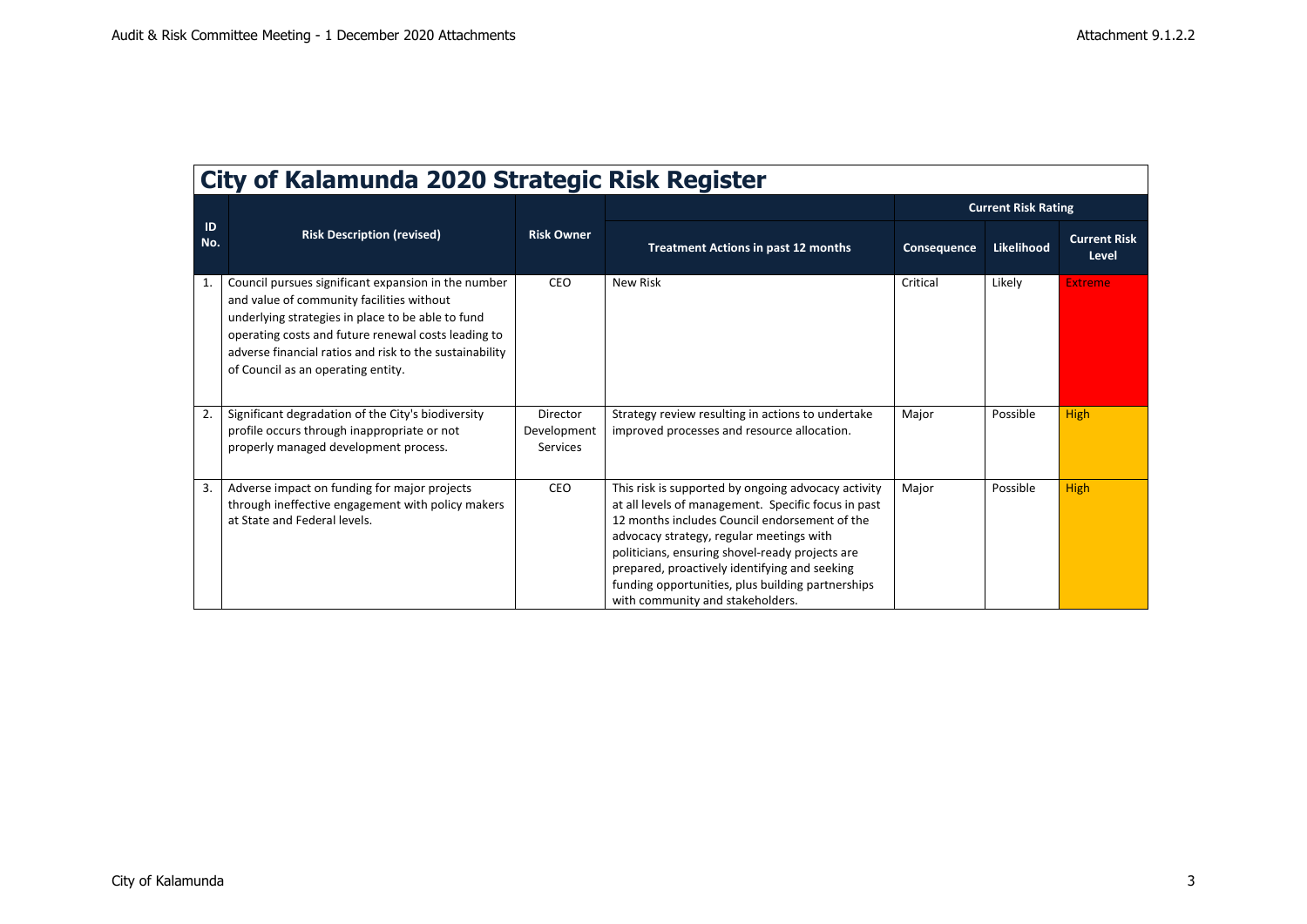$\overline{\phantom{a}}$ 

| City of Kalamunda 2020 Strategic Risk Register |                                                                                                                                                                                                                                                                                                               |                                     |                                                                                                                                                                                                                                                                                                                                                                                                      |                            |            |                              |  |  |
|------------------------------------------------|---------------------------------------------------------------------------------------------------------------------------------------------------------------------------------------------------------------------------------------------------------------------------------------------------------------|-------------------------------------|------------------------------------------------------------------------------------------------------------------------------------------------------------------------------------------------------------------------------------------------------------------------------------------------------------------------------------------------------------------------------------------------------|----------------------------|------------|------------------------------|--|--|
|                                                | <b>Risk Description (revised)</b>                                                                                                                                                                                                                                                                             | <b>Risk Owner</b>                   |                                                                                                                                                                                                                                                                                                                                                                                                      | <b>Current Risk Rating</b> |            |                              |  |  |
| ID<br>No.                                      |                                                                                                                                                                                                                                                                                                               |                                     | <b>Treatment Actions in past 12 months</b>                                                                                                                                                                                                                                                                                                                                                           | Consequence                | Likelihood | <b>Current Risk</b><br>Level |  |  |
| 1.                                             | Council pursues significant expansion in the number<br>and value of community facilities without<br>underlying strategies in place to be able to fund<br>operating costs and future renewal costs leading to<br>adverse financial ratios and risk to the sustainability<br>of Council as an operating entity. | CEO                                 | <b>New Risk</b>                                                                                                                                                                                                                                                                                                                                                                                      | Critical                   | Likely     | <b>Extreme</b>               |  |  |
| 2.                                             | Significant degradation of the City's biodiversity<br>profile occurs through inappropriate or not<br>properly managed development process.                                                                                                                                                                    | Director<br>Development<br>Services | Strategy review resulting in actions to undertake<br>improved processes and resource allocation.                                                                                                                                                                                                                                                                                                     | Major                      | Possible   | <b>High</b>                  |  |  |
| 3.                                             | Adverse impact on funding for major projects<br>through ineffective engagement with policy makers<br>at State and Federal levels.                                                                                                                                                                             | <b>CEO</b>                          | This risk is supported by ongoing advocacy activity<br>at all levels of management. Specific focus in past<br>12 months includes Council endorsement of the<br>advocacy strategy, regular meetings with<br>politicians, ensuring shovel-ready projects are<br>prepared, proactively identifying and seeking<br>funding opportunities, plus building partnerships<br>with community and stakeholders. | Major                      | Possible   | <b>High</b>                  |  |  |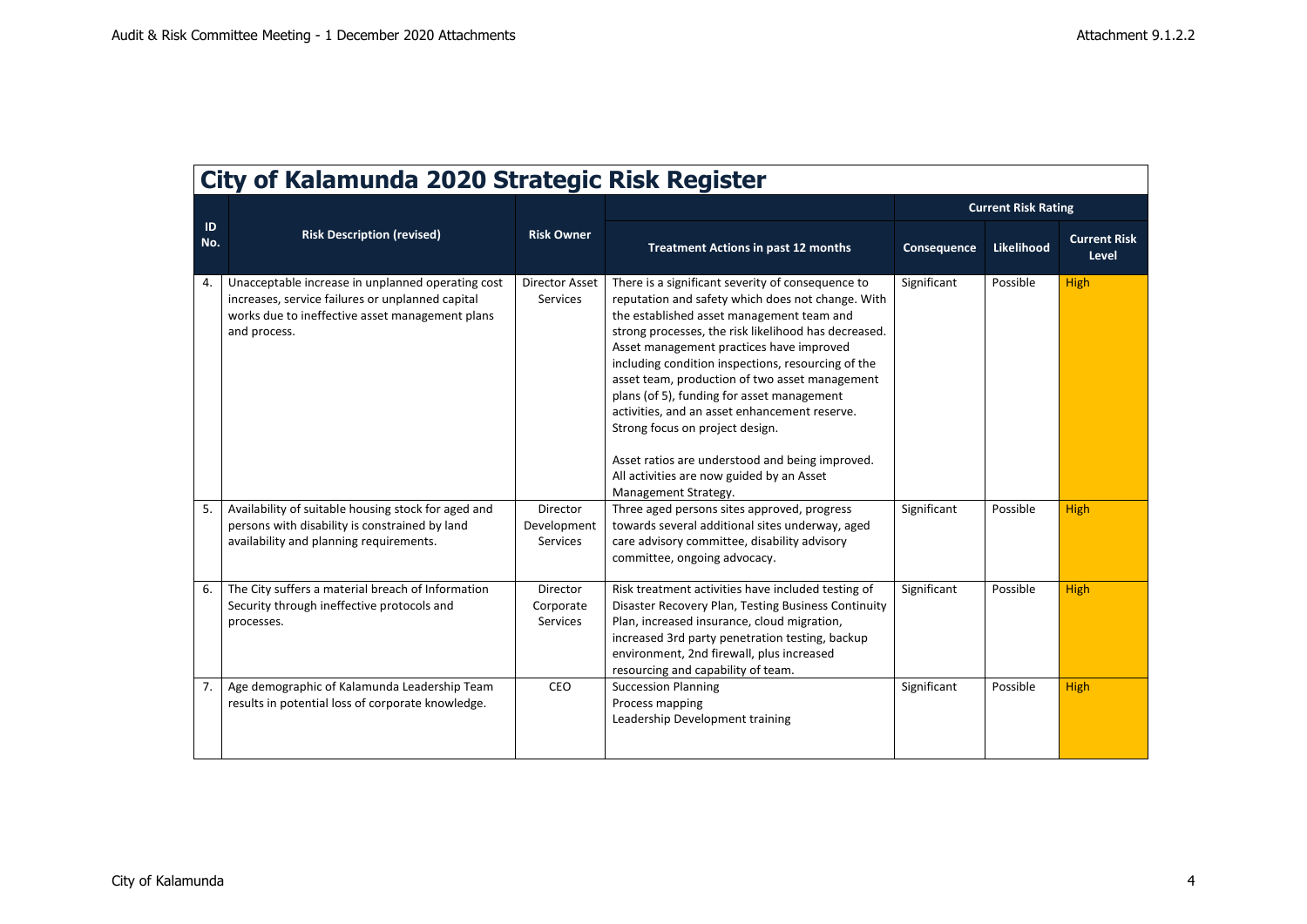| City of Kalamunga 2020 Strategic Risk Register |                                                                                                                                                                                                                                 |                                               |                                                                                                                                                                                                                                                                                                                                                                                                                                                                                                                                                                                                                                                                          |                            |                      |                              |  |  |  |
|------------------------------------------------|---------------------------------------------------------------------------------------------------------------------------------------------------------------------------------------------------------------------------------|-----------------------------------------------|--------------------------------------------------------------------------------------------------------------------------------------------------------------------------------------------------------------------------------------------------------------------------------------------------------------------------------------------------------------------------------------------------------------------------------------------------------------------------------------------------------------------------------------------------------------------------------------------------------------------------------------------------------------------------|----------------------------|----------------------|------------------------------|--|--|--|
| ID<br>No.                                      | <b>Risk Description (revised)</b>                                                                                                                                                                                               | <b>Risk Owner</b>                             |                                                                                                                                                                                                                                                                                                                                                                                                                                                                                                                                                                                                                                                                          | <b>Current Risk Rating</b> |                      |                              |  |  |  |
|                                                |                                                                                                                                                                                                                                 |                                               | <b>Treatment Actions in past 12 months</b>                                                                                                                                                                                                                                                                                                                                                                                                                                                                                                                                                                                                                               | Consequence                | Likelihood           | <b>Current Risk</b><br>Level |  |  |  |
| 4.<br>5.                                       | Unacceptable increase in unplanned operating cost<br>increases, service failures or unplanned capital<br>works due to ineffective asset management plans<br>and process.<br>Availability of suitable housing stock for aged and | <b>Director Asset</b><br>Services<br>Director | There is a significant severity of consequence to<br>reputation and safety which does not change. With<br>the established asset management team and<br>strong processes, the risk likelihood has decreased.<br>Asset management practices have improved<br>including condition inspections, resourcing of the<br>asset team, production of two asset management<br>plans (of 5), funding for asset management<br>activities, and an asset enhancement reserve.<br>Strong focus on project design.<br>Asset ratios are understood and being improved.<br>All activities are now guided by an Asset<br>Management Strategy.<br>Three aged persons sites approved, progress | Significant<br>Significant | Possible<br>Possible | <b>High</b><br><b>High</b>   |  |  |  |
|                                                | persons with disability is constrained by land<br>availability and planning requirements.                                                                                                                                       | Development<br>Services                       | towards several additional sites underway, aged<br>care advisory committee, disability advisory<br>committee, ongoing advocacy.                                                                                                                                                                                                                                                                                                                                                                                                                                                                                                                                          |                            |                      |                              |  |  |  |
| 6.                                             | The City suffers a material breach of Information<br>Security through ineffective protocols and<br>processes.                                                                                                                   | Director<br>Corporate<br>Services             | Risk treatment activities have included testing of<br>Disaster Recovery Plan, Testing Business Continuity<br>Plan, increased insurance, cloud migration,<br>increased 3rd party penetration testing, backup<br>environment, 2nd firewall, plus increased<br>resourcing and capability of team.                                                                                                                                                                                                                                                                                                                                                                           | Significant                | Possible             | <b>High</b>                  |  |  |  |
| 7.                                             | Age demographic of Kalamunda Leadership Team<br>results in potential loss of corporate knowledge.                                                                                                                               | CEO                                           | <b>Succession Planning</b><br>Process mapping<br>Leadership Development training                                                                                                                                                                                                                                                                                                                                                                                                                                                                                                                                                                                         | Significant                | Possible             | <b>High</b>                  |  |  |  |

## **City of Kalamunda 2020 Strategic Risk Register**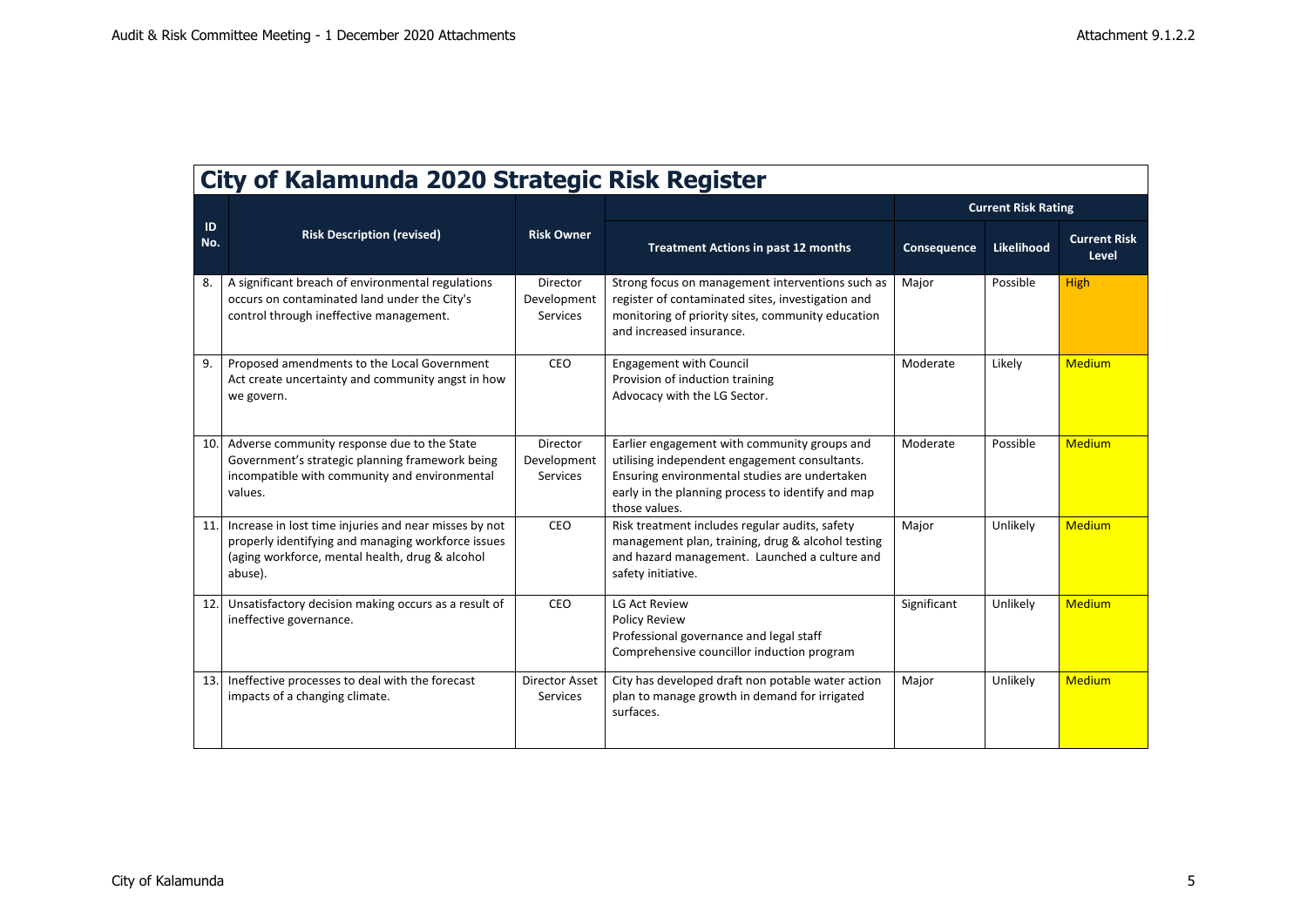┑

| City of Kalamunda 2020 Strategic Risk Register |                                                                                                                                                                           |                                     |                                                                                                                                                                                                                      |                            |            |                              |  |  |
|------------------------------------------------|---------------------------------------------------------------------------------------------------------------------------------------------------------------------------|-------------------------------------|----------------------------------------------------------------------------------------------------------------------------------------------------------------------------------------------------------------------|----------------------------|------------|------------------------------|--|--|
|                                                | <b>Risk Description (revised)</b>                                                                                                                                         | <b>Risk Owner</b>                   |                                                                                                                                                                                                                      | <b>Current Risk Rating</b> |            |                              |  |  |
| ID<br>No.                                      |                                                                                                                                                                           |                                     | <b>Treatment Actions in past 12 months</b>                                                                                                                                                                           | Consequence                | Likelihood | <b>Current Risk</b><br>Level |  |  |
| 8.                                             | A significant breach of environmental regulations<br>occurs on contaminated land under the City's<br>control through ineffective management.                              | Director<br>Development<br>Services | Strong focus on management interventions such as<br>register of contaminated sites, investigation and<br>monitoring of priority sites, community education<br>and increased insurance.                               | Major                      | Possible   | <b>High</b>                  |  |  |
| 9.                                             | Proposed amendments to the Local Government<br>Act create uncertainty and community angst in how<br>we govern.                                                            | CEO                                 | <b>Engagement with Council</b><br>Provision of induction training<br>Advocacy with the LG Sector.                                                                                                                    | Moderate                   | Likely     | <b>Medium</b>                |  |  |
| 10.                                            | Adverse community response due to the State<br>Government's strategic planning framework being<br>incompatible with community and environmental<br>values.                | Director<br>Development<br>Services | Earlier engagement with community groups and<br>utilising independent engagement consultants.<br>Ensuring environmental studies are undertaken<br>early in the planning process to identify and map<br>those values. | Moderate                   | Possible   | <b>Medium</b>                |  |  |
| 11                                             | Increase in lost time injuries and near misses by not<br>properly identifying and managing workforce issues<br>(aging workforce, mental health, drug & alcohol<br>abuse). | CEO                                 | Risk treatment includes regular audits, safety<br>management plan, training, drug & alcohol testing<br>and hazard management. Launched a culture and<br>safety initiative.                                           | Major                      | Unlikely   | <b>Medium</b>                |  |  |
| 12.                                            | Unsatisfactory decision making occurs as a result of<br>ineffective governance.                                                                                           | CEO                                 | <b>LG Act Review</b><br><b>Policy Review</b><br>Professional governance and legal staff<br>Comprehensive councillor induction program                                                                                | Significant                | Unlikely   | <b>Medium</b>                |  |  |
| 13.                                            | Ineffective processes to deal with the forecast<br>impacts of a changing climate.                                                                                         | <b>Director Asset</b><br>Services   | City has developed draft non potable water action<br>plan to manage growth in demand for irrigated<br>surfaces.                                                                                                      | Major                      | Unlikely   | <b>Medium</b>                |  |  |